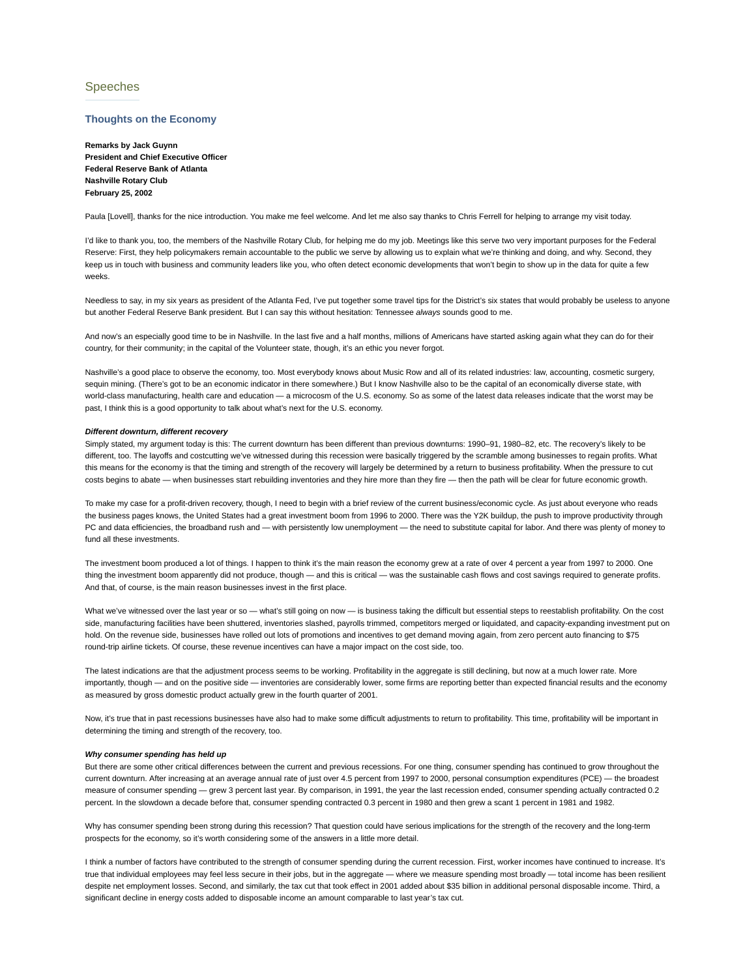# Speeches

# **Thoughts on the Economy**

**Remarks by Jack Guynn President and Chief Executive Officer Federal Reserve Bank of Atlanta Nashville Rotary Club February 25, 2002**

Paula [Lovel]], thanks for the nice introduction. You make me feel welcome. And let me also say thanks to Chris Ferrell for helping to arrange my visit today.

I'd like to thank you, too, the members of the Nashville Rotary Club, for helping me do my job. Meetings like this serve two very important purposes for the Federal Reserve: First, they help policymakers remain accountable to the public we serve by allowing us to explain what we're thinking and doing, and why. Second, they keep us in touch with business and community leaders like you, who often detect economic developments that won't begin to show up in the data for quite a few weeks.

Needless to say, in my six years as president of the Atlanta Fed, I've put together some travel tips for the District's six states that would probably be useless to anyone but another Federal Reserve Bank president. But I can say this without hesitation: Tennessee *always* sounds good to me.

And now's an especially good time to be in Nashville. In the last five and a half months, millions of Americans have started asking again what they can do for their country, for their community; in the capital of the Volunteer state, though, it's an ethic you never forgot.

Nashville's a good place to observe the economy, too. Most everybody knows about Music Row and all of its related industries: law, accounting, cosmetic surgery, sequin mining. (There's got to be an economic indicator in there somewhere.) But I know Nashville also to be the capital of an economically diverse state, with world-class manufacturing, health care and education — a microcosm of the U.S. economy. So as some of the latest data releases indicate that the worst may be past, I think this is a good opportunity to talk about what's next for the U.S. economy.

#### *Different downturn, different recovery*

Simply stated, my argument today is this: The current downturn has been different than previous downturns: 1990–91, 1980–82, etc. The recovery's likely to be different, too. The layoffs and costcutting we've witnessed during this recession were basically triggered by the scramble among businesses to regain profits. What this means for the economy is that the timing and strength of the recovery will largely be determined by a return to business profitability. When the pressure to cut costs begins to abate — when businesses start rebuilding inventories and they hire more than they fire — then the path will be clear for future economic growth.

To make my case for a profit-driven recovery, though, I need to begin with a brief review of the current business/economic cycle. As just about everyone who reads the business pages knows, the United States had a great investment boom from 1996 to 2000. There was the Y2K buildup, the push to improve productivity through PC and data efficiencies, the broadband rush and — with persistently low unemployment — the need to substitute capital for labor. And there was plenty of money to fund all these investments.

The investment boom produced a lot of things. I happen to think it's the main reason the economy grew at a rate of over 4 percent a year from 1997 to 2000. One thing the investment boom apparently did not produce, though — and this is critical — was the sustainable cash flows and cost savings required to generate profits. And that, of course, is the main reason businesses invest in the first place.

What we've witnessed over the last year or so - what's still going on now - is business taking the difficult but essential steps to reestablish profitability. On the cost side, manufacturing facilities have been shuttered, inventories slashed, payrolls trimmed, competitors merged or liquidated, and capacity-expanding investment put on hold. On the revenue side, businesses have rolled out lots of promotions and incentives to get demand moving again, from zero percent auto financing to \$75 round-trip airline tickets. Of course, these revenue incentives can have a major impact on the cost side, too.

The latest indications are that the adjustment process seems to be working. Profitability in the aggregate is still declining, but now at a much lower rate. More importantly, though — and on the positive side — inventories are considerably lower, some firms are reporting better than expected financial results and the economy as measured by gross domestic product actually grew in the fourth quarter of 2001.

Now, it's true that in past recessions businesses have also had to make some difficult adjustments to return to profitability. This time, profitability will be important in determining the timing and strength of the recovery, too.

# *Why consumer spending has held up*

But there are some other critical differences between the current and previous recessions. For one thing, consumer spending has continued to grow throughout the current downturn. After increasing at an average annual rate of just over 4.5 percent from 1997 to 2000, personal consumption expenditures (PCE) — the broadest measure of consumer spending — grew 3 percent last year. By comparison, in 1991, the year the last recession ended, consumer spending actually contracted 0.2 percent. In the slowdown a decade before that, consumer spending contracted 0.3 percent in 1980 and then grew a scant 1 percent in 1981 and 1982.

Why has consumer spending been strong during this recession? That question could have serious implications for the strength of the recovery and the long-term prospects for the economy, so it's worth considering some of the answers in a little more detail.

I think a number of factors have contributed to the strength of consumer spending during the current recession. First, worker incomes have continued to increase. It's true that individual employees may feel less secure in their jobs, but in the aggregate — where we measure spending most broadly — total income has been resilient despite net employment losses. Second, and similarly, the tax cut that took effect in 2001 added about \$35 billion in additional personal disposable income. Third, a significant decline in energy costs added to disposable income an amount comparable to last year's tax cut.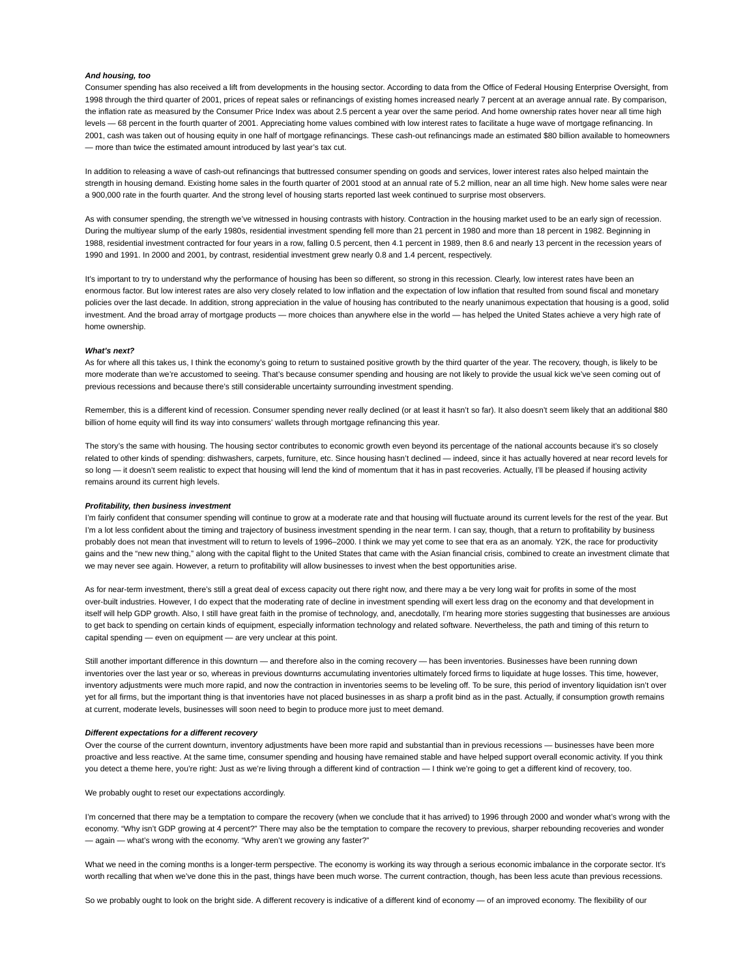## *And housing, too*

Consumer spending has also received a lift from developments in the housing sector. According to data from the Office of Federal Housing Enterprise Oversight, from 1998 through the third quarter of 2001, prices of repeat sales or refinancings of existing homes increased nearly 7 percent at an average annual rate. By comparison, the inflation rate as measured by the Consumer Price Index was about 2.5 percent a year over the same period. And home ownership rates hover near all time high levels — 68 percent in the fourth quarter of 2001. Appreciating home values combined with low interest rates to facilitate a huge wave of mortgage refinancing. In 2001, cash was taken out of housing equity in one half of mortgage refinancings. These cash-out refinancings made an estimated \$80 billion available to homeowners — more than twice the estimated amount introduced by last year's tax cut.

In addition to releasing a wave of cash-out refinancings that buttressed consumer spending on goods and services, lower interest rates also helped maintain the strength in housing demand. Existing home sales in the fourth quarter of 2001 stood at an annual rate of 5.2 million, near an all time high. New home sales were near a 900,000 rate in the fourth quarter. And the strong level of housing starts reported last week continued to surprise most observers.

As with consumer spending, the strength we've witnessed in housing contrasts with history. Contraction in the housing market used to be an early sign of recession. During the multiyear slump of the early 1980s, residential investment spending fell more than 21 percent in 1980 and more than 18 percent in 1982. Beginning in 1988, residential investment contracted for four years in a row, falling 0.5 percent, then 4.1 percent in 1989, then 8.6 and nearly 13 percent in the recession years of 1990 and 1991. In 2000 and 2001, by contrast, residential investment grew nearly 0.8 and 1.4 percent, respectively.

It's important to try to understand why the performance of housing has been so different, so strong in this recession. Clearly, low interest rates have been an enormous factor. But low interest rates are also very closely related to low inflation and the expectation of low inflation that resulted from sound fiscal and monetary policies over the last decade. In addition, strong appreciation in the value of housing has contributed to the nearly unanimous expectation that housing is a good, solid investment. And the broad array of mortgage products — more choices than anywhere else in the world — has helped the United States achieve a very high rate of home ownership.

### *What's next?*

As for where all this takes us, I think the economy's going to return to sustained positive growth by the third quarter of the year. The recovery, though, is likely to be more moderate than we're accustomed to seeing. That's because consumer spending and housing are not likely to provide the usual kick we've seen coming out of previous recessions and because there's still considerable uncertainty surrounding investment spending.

Remember, this is a different kind of recession. Consumer spending never really declined (or at least it hasn't so far). It also doesn't seem likely that an additional \$80 billion of home equity will find its way into consumers' wallets through mortgage refinancing this year.

The story's the same with housing. The housing sector contributes to economic growth even beyond its percentage of the national accounts because it's so closely related to other kinds of spending: dishwashers, carpets, furniture, etc. Since housing hasn't declined — indeed, since it has actually hovered at near record levels for so long - it doesn't seem realistic to expect that housing will lend the kind of momentum that it has in past recoveries. Actually, I'll be pleased if housing activity remains around its current high levels.

#### *Profitability, then business investment*

I'm fairly confident that consumer spending will continue to grow at a moderate rate and that housing will fluctuate around its current levels for the rest of the year. But I'm a lot less confident about the timing and trajectory of business investment spending in the near term. I can say, though, that a return to profitability by business probably does not mean that investment will to return to levels of 1996–2000. I think we may yet come to see that era as an anomaly. Y2K, the race for productivity gains and the "new new thing," along with the capital flight to the United States that came with the Asian financial crisis, combined to create an investment climate that we may never see again. However, a return to profitability will allow businesses to invest when the best opportunities arise.

As for near-term investment, there's still a great deal of excess capacity out there right now, and there may a be very long wait for profits in some of the most over-built industries. However, I do expect that the moderating rate of decline in investment spending will exert less drag on the economy and that development in itself will help GDP growth. Also, I still have great faith in the promise of technology, and, anecdotally, I'm hearing more stories suggesting that businesses are anxious to get back to spending on certain kinds of equipment, especially information technology and related software. Nevertheless, the path and timing of this return to capital spending — even on equipment — are very unclear at this point.

Still another important difference in this downturn — and therefore also in the coming recovery — has been inventories. Businesses have been running down inventories over the last year or so, whereas in previous downturns accumulating inventories ultimately forced firms to liquidate at huge losses. This time, however, inventory adjustments were much more rapid, and now the contraction in inventories seems to be leveling off. To be sure, this period of inventory liquidation isn't over yet for all firms, but the important thing is that inventories have not placed businesses in as sharp a profit bind as in the past. Actually, if consumption growth remains at current, moderate levels, businesses will soon need to begin to produce more just to meet demand.

## *Different expectations for a different recovery*

Over the course of the current downturn, inventory adjustments have been more rapid and substantial than in previous recessions — businesses have been more proactive and less reactive. At the same time, consumer spending and housing have remained stable and have helped support overall economic activity. If you think you detect a theme here, you're right: Just as we're living through a different kind of contraction — I think we're going to get a different kind of recovery, too.

We probably ought to reset our expectations accordingly.

I'm concerned that there may be a temptation to compare the recovery (when we conclude that it has arrived) to 1996 through 2000 and wonder what's wrong with the economy. "Why isn't GDP growing at 4 percent?" There may also be the temptation to compare the recovery to previous, sharper rebounding recoveries and wonder — again — what's wrong with the economy. "Why aren't we growing any faster?"

What we need in the coming months is a longer-term perspective. The economy is working its way through a serious economic imbalance in the corporate sector. It's worth recalling that when we've done this in the past, things have been much worse. The current contraction, though, has been less acute than previous recessions.

So we probably ought to look on the bright side. A different recovery is indicative of a different kind of economy — of an improved economy. The flexibility of our